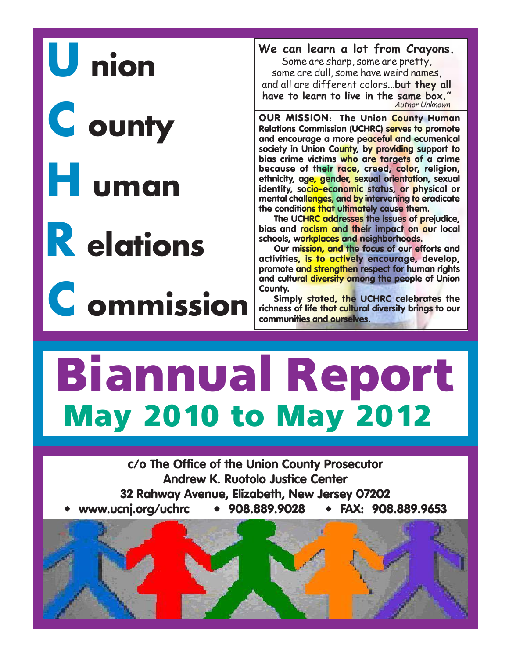# U nion

C ounty

## H uman

R elations

C ommission

**We can learn a lot from Crayons.**

Some are sharp, some are pretty, some are dull, some have weird names, and all are different colors...**but they all have to learn to live in the same box."** Author Unknown

**OUR MISSION: The Union County Human Relations Commission (UCHRC) serves to promote and encourage a more peaceful and ecumenical society in Union County, by providing support to bias crime victims who are targets of a crime because of their race, creed, color, religion, ethnicity, age, gender, sexual orientation, sexual identity, socio-economic status, or physical or mental challenges, and by intervening to eradicate the conditions that ultimately cause them.**

**The UCHRC addresses the issues of prejudice, bias and racism and their impact on our local schools, workplaces and neighborhoods.**

**Our mission, and the focus of our efforts and activities, is to actively encourage, develop, promote and strengthen respect for human rights and cultural diversity among the people of Union County.**

**Simply stated, the UCHRC celebrates the richness of life that cultural diversity brings to our communities and ourselves.**

## **May 2010 to May 2012 Biannual Report**

**c/o The Office of the Union County Prosecutor Andrew K. Ruotolo Justice Center 32 Rahway Avenue, Elizabeth, New Jersey 07202 www.ucnj.org/uchrc 908.889.9028 FAX: 908.889.9653**

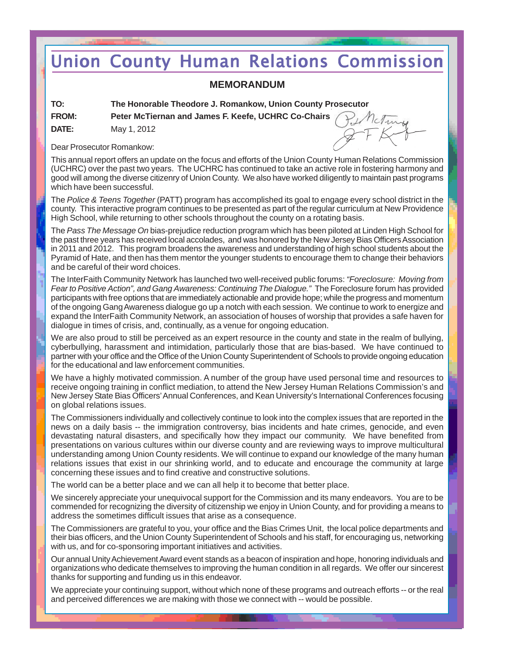## **Union County Human Relations Commission**

#### **MEMORANDUM**

| TO:          | The Honorable Theodore J. Romankow, Union County Pr |
|--------------|-----------------------------------------------------|
| <b>FROM:</b> | Peter McTiernan and James F. Keefe, UCHRC Co-Chairs |
| <b>DATE:</b> | May 1, 2012                                         |

**To: County Prosecutor** 

Dear Prosecutor Romankow:

This annual report offers an update on the focus and efforts of the Union County Human Relations Commission (UCHRC) over the past two years. The UCHRC has continued to take an active role in fostering harmony and good will among the diverse citizenry of Union County. We also have worked diligently to maintain past programs which have been successful.

The *Police & Teens Together* (PATT) program has accomplished its goal to engage every school district in the county. This interactive program continues to be presented as part of the regular curriculum at New Providence High School, while returning to other schools throughout the county on a rotating basis.

The *Pass The Message On* bias-prejudice reduction program which has been piloted at Linden High School for the past three years has received local accolades, and was honored by the New Jersey Bias Officers Association in 2011 and 2012. This program broadens the awareness and understanding of high school students about the Pyramid of Hate, and then has them mentor the younger students to encourage them to change their behaviors and be careful of their word choices.

The InterFaith Community Network has launched two well-received public forums: *"Foreclosure: Moving from Fear to Positive Action", and Gang Awareness: Continuing The Dialogue."* The Foreclosure forum has provided participants with free options that are immediately actionable and provide hope; while the progress and momentum of the ongoing Gang Awareness dialogue go up a notch with each session. We continue to work to energize and expand the InterFaith Community Network, an association of houses of worship that provides a safe haven for dialogue in times of crisis, and, continually, as a venue for ongoing education.

We are also proud to still be perceived as an expert resource in the county and state in the realm of bullying, cyberbullying, harassment and intimidation, particularly those that are bias-based. We have continued to partner with your office and the Office of the Union County Superintendent of Schools to provide ongoing education for the educational and law enforcement communities.

We have a highly motivated commission. A number of the group have used personal time and resources to receive ongoing training in conflict mediation, to attend the New Jersey Human Relations Commission's and New Jersey State Bias Officers' Annual Conferences, and Kean University's International Conferences focusing on global relations issues.

The Commissioners individually and collectively continue to look into the complex issues that are reported in the news on a daily basis -- the immigration controversy, bias incidents and hate crimes, genocide, and even devastating natural disasters, and specifically how they impact our community. We have benefited from presentations on various cultures within our diverse county and are reviewing ways to improve multicultural understanding among Union County residents. We will continue to expand our knowledge of the many human relations issues that exist in our shrinking world, and to educate and encourage the community at large concerning these issues and to find creative and constructive solutions.

The world can be a better place and we can all help it to become that better place.

We sincerely appreciate your unequivocal support for the Commission and its many endeavors. You are to be commended for recognizing the diversity of citizenship we enjoy in Union County, and for providing a means to address the sometimes difficult issues that arise as a consequence.

The Commissioners are grateful to you, your office and the Bias Crimes Unit, the local police departments and their bias officers, and the Union County Superintendent of Schools and his staff, for encouraging us, networking with us, and for co-sponsoring important initiatives and activities.

Our annual Unity Achievement Award event stands as a beacon of inspiration and hope, honoring individuals and organizations who dedicate themselves to improving the human condition in all regards. We offer our sincerest thanks for supporting and funding us in this endeavor.

We appreciate your continuing support, without which none of these programs and outreach efforts -- or the real and perceived differences we are making with those we connect with -- would be possible.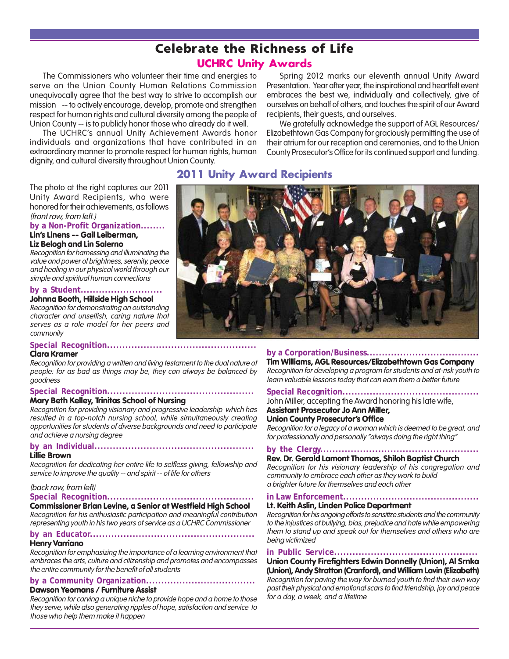## **Celebrate the Richness of Life**

#### UCHRC Unity Awards

The Commissioners who volunteer their time and energies to serve on the Union County Human Relations Commission unequivocally agree that the best way to strive to accomplish our mission -- to actively encourage, develop, promote and strengthen respect for human rights and cultural diversity among the people of Union County -- is to publicly honor those who already do it well.

The UCHRC's annual Unity Achievement Awards honor individuals and organizations that have contributed in an extraordinary manner to promote respect for human rights, human dignity, and cultural diversity throughout Union County.

Spring 2012 marks our eleventh annual Unity Award Presentation. Year after year, the inspirational and heartfelt event embraces the best we, individually and collectively, give of ourselves on behalf of others, and touches the spirit of our Award recipients, their guests, and ourselves.

We gratefully acknowledge the support of AGL Resources/ Elizabethtown Gas Company for graciously permitting the use of their atrium for our reception and ceremonies, and to the Union County Prosecutor's Office for its continued support and funding.

The photo at the right captures our 2011 Unity Award Recipients, who were honored for their achievements, as follows (front row, from left.)

**by a Non-Profit Organization........ Lin's Linens -- Gail Leiberman,**

#### **Liz Belogh and Lin Salerno**

Recognition for harnessing and illuminating the value and power of brightness, serenity, peace and healing in our physical world through our simple and spiritual human connections

**by a Student...........................**

#### **Johnna Booth, Hillside High School**

Recognition for demonstrating an outstanding character and unselfish, caring nature that serves as a role model for her peers and community

#### **Special Recognition.................................................**

#### **Clara Kramer**

Recognition for providing a written and living testament to the dual nature of people: for as bad as things may be, they can always be balanced by goodness

#### **Special Recognition................................................**

#### **Mary Beth Kelley, Trinitas School of Nursing**

Recognition for providing visionary and progressive leadership which has resulted in a top-notch nursing school, while simultaneously creating opportunities for students of diverse backgrounds and need to participate and achieve a nursing degree

#### **by an Individual....................................................**

#### **Lillie Brown**

Recognition for dedicating her entire life to selfless giving, fellowship and service to improve the quality -- and spirit -- of life for others

#### (back row, from left)

#### **Special Recognition................................................**

**Commissioner Brian Levine, a Senior at Westfield High School** Recognition for his enthusiastic participation and meaningful contribution

representing youth in his two years of service as a UCHRC Commissioner

#### **by an Educator...................................................... Henry Varriano**

#### Recognition for emphasizing the importance of a learning environment that embraces the arts, culture and citizenship and promotes and encompasses the entire community for the benefit of all students

#### **by a Community Organization.................................... Dawson Yeomans / Furniture Assist**

Recognition for carving a unique niche to provide hope and a home to those they serve, while also generating ripples of hope, satisfaction and service to those who help them make it happen

#### 2011 Unity Award Recipients



#### **by a Corporation/Business.....................................**

**Tim Williams, AGL Resources/Elizabethtown Gas Company** Recognition for developing a program for students and at-risk youth to learn valuable lessons today that can earn them a better future

#### **Special Recognition.............................................**

John Miller, accepting the Award honoring his late wife,

#### **Assistant Prosecutor Jo Ann Miller,**

**Union County Prosecutor's Office** Recognition for a legacy of a woman which is deemed to be great, and

for professionally and personally "always doing the right thing"

#### **by the Clergy.................................................... Rev. Dr. Gerald Lamont Thomas, Shiloh Baptist Church**

Recognition for his visionary leadership of his congregation and community to embrace each other as they work to build a brighter future for themselves and each other

#### **in Law Enforcement.............................................**

#### **Lt. Keith Aslin, Linden Police Department**

Recognition for his ongoing efforts to sensitize students and the community to the injustices of bullying, bias, prejudice and hate while empowering them to stand up and speak out for themselves and others who are being victimized

#### **in Public Service...............................................**

#### **Union County Firefighters Edwin Donnelly (Union), Al Srnka (Union), Andy Stratton (Cranford), and William Lavin (Elizabeth)**

Recognition for paving the way for burned youth to find their own way past their physical and emotional scars to find friendship, joy and peace for a day, a week, and a lifetime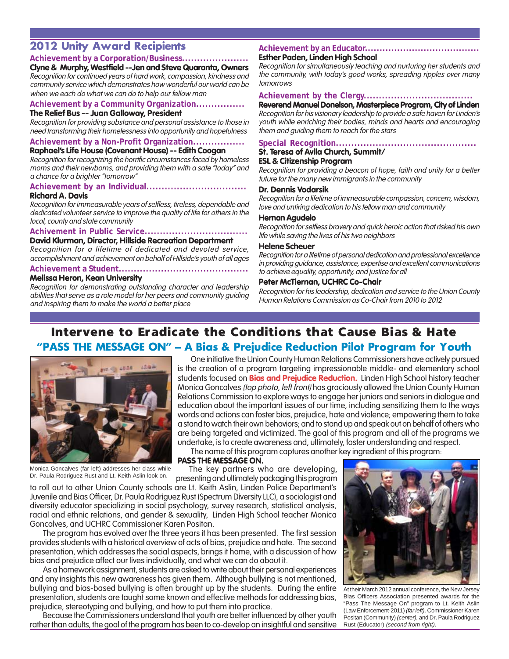#### 2012 Unity Award Recipients

#### **Achievement by a Corporation/Business......................**

#### **Clyne & Murphy, Westfield --Jen and Steve Quaranta, Owners**

Recognition for continued years of hard work, compassion, kindness and community service which demonstrates how wonderful our world can be when we each do what we can do to help our fellow man

#### **Achievement by a Community Organization................**

#### **The Relief Bus -- Juan Galloway, President**

Recognition for providing substance and personal assistance to those in need transforming their homelessness into opportunity and hopefulness

#### **Achievement by a Non-Profit Organization................. Raphael's Life House (Covenant House) -- Edith Coogan**

Recognition for recognizing the horrific circumstances faced by homeless

moms and their newborns, and providing them with a safe "today" and a chance for a brighter "tomorrow"

#### **Achievement by an Individual.................................**

**Richard A. Davis**

Recognition for immeasurable years of selfless, tireless, dependable and dedicated volunteer service to improve the quality of life for others in the local, county and state community

#### **Achivement in Public Service..................................**

#### **David Klurman, Director, Hillside Recreation Department**

Recognition for a lifetime of dedicated and devoted service, accomplishment and achievement on behalf of Hillside's youth of all ages

#### **Achievement a Student...........................................**

#### **Melissa Heron, Kean University**

Recognition for demonstrating outstanding character and leadership abilities that serve as a role model for her peers and community guiding and inspiring them to make the world a better place

#### **Achievement by an Educator.......................................**

#### **Esther Paden, Linden High School**

Recognition for simultaneously teaching and nurturing her students and the community, with today's good works, spreading ripples over many tomorrows

#### **Achievement by the Clergy....................................**

**Reverend Manuel Donelson, Masterpiece Program, City of Linden** Recognition for his visionary leadership to provide a safe haven for Linden's youth while enriching their bodies, minds and hearts and encouraging them and guiding them to reach for the stars

#### **Special Recognition..............................................**

#### **St. Teresa of Avila Church, Summit/**

#### **ESL & Citizenship Program**

Recognition for providing a beacon of hope, faith and unity for a better future for the many new immigrants in the community

#### **Dr. Dennis Vodarsik**

Recognition for a lifetime of immeasurable compassion, concern, wisdom, love and untiring dedication to his fellow man and community

#### **Hernan Agudelo**

Recognition for selfless bravery and quick heroic action that risked his own life while saving the lives of his two neighbors

#### **Helene Scheuer**

Recognition for a lifetime of personal dedication and professional excellence in providing guidance, assistance, expertise and excellent communications to achieve equality, opportunity, and justice for all

#### **Peter McTiernan, UCHRC Co-Chair**

Recognition for his leadership, dedication and service to the Union County Human Relations Commission as Co-Chair from 2010 to 2012

#### **Intervene to Eradicate the Conditions that Cause Bias & Hate** "PASS THE MESSAGE ON" - A Bias & Prejudice Reduction Pilot Program for Youth



is the creation of a program targeting impressionable middle- and elementary school students focused on **Bias and Prejudice Reduction.** Linden High School history teacher Monica Goncalves (top photo, left front) has graciously allowed the Union County Human Relations Commission to explore ways to engage her juniors and seniors in dialogue and education about the important issues of our time, including sensitizing them to the ways words and actions can foster bias, prejudice, hate and violence; empowering them to take a stand to watch their own behaviors; and to stand up and speak out on behalf of others who are being targeted and victimized. The goal of this program and all of the programs we undertake, is to create awareness and, ultimately, foster understanding and respect.

One initiative the Union County Human Relations Commissioners have actively pursued

The name of this program captures another key ingredient of this program:

Monica Goncalves (far left) addresses her class while

**PASS THE MESSAGE ON.**

Monica Goncalves (far left) addresses her class while The key partners who are developing,<br>Dr. Paula Rodriguez Rust and Lt. Keith Aslin look on. The senting and ultimately packaging this program presenting and ultimately packaging this program

to roll out to other Union County schools are Lt. Keith Aslin, Linden Police Department's Juvenile and Bias Officer, Dr. Paula Rodriguez Rust (Spectrum Diversity LLC), a sociologist and diversity educator specializing in social psychology, survey research, statistical analysis, racial and ethnic relations, and gender & sexuality, Linden High School teacher Monica Goncalves, and UCHRC Commissioner Karen Positan.

The program has evolved over the three years it has been presented. The first session provides students with a historical overview of acts of bias, prejudice and hate. The second presentation, which addresses the social aspects, brings it home, with a discussion of how bias and prejudice affect our lives individually, and what we can do about it.

As a homework assignment, students are asked to write about their personal experiences and any insights this new awareness has given them. Although bullying is not mentioned, bullying and bias-based bullying is often brought up by the students. During the entire presentation, students are taught some known and effective methods for addressing bias, prejudice, stereotyping and bullying, and how to put them into practice.

Because the Commissioners understand that youth are better influenced by other youth rather than adults, the goal of the program has been to co-develop an insightful and sensitive



At their March 2012 annual conference, the New Jersey Bias Officers Association presented awards for the "Pass The Message On" program to Lt. Keith Aslin (Law Enforcement-2011) *(far left),* Commissioner Karen Positan (Community) *(center),* and Dr. Paula Rodriguez Rust (Educator) *(second from right).*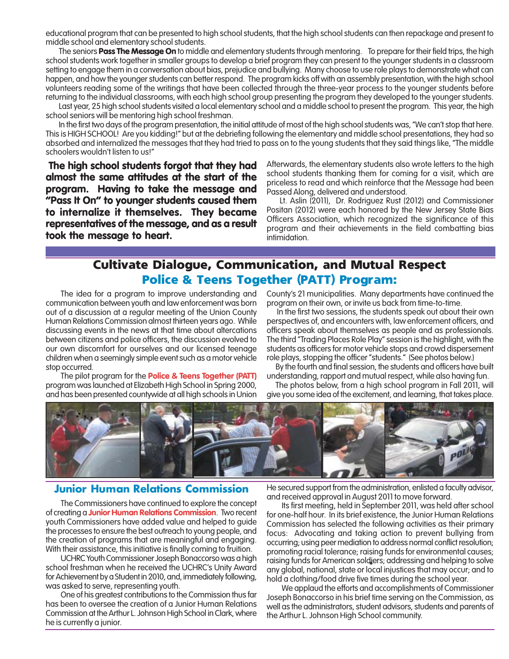educational program that can be presented to high school students, that the high school students can then repackage and present to middle school and elementary school students.

The seniors **Pass The Message On** to middle and elementary students through mentoring. To prepare for their field trips, the high school students work together in smaller groups to develop a brief program they can present to the younger students in a classroom setting to engage them in a conversation about bias, prejudice and bullying. Many choose to use role plays to demonstrate what can happen, and how the younger students can better respond. The program kicks off with an assembly presentation, with the high school volunteers reading some of the writings that have been collected through the three-year process to the younger students before returning to the individual classrooms, with each high school group presenting the program they developed to the younger students.

Last year, 25 high school students visited a local elementary school and a middle school to present the program. This year, the high school seniors will be mentoring high school freshman.

In the first two days of the program presentation, the initial attitude of most of the high school students was, "We can't stop that here. This is HIGH SCHOOL! Are you kidding!" but at the debriefing following the elementary and middle school presentations, they had so absorbed and internalized the messages that they had tried to pass on to the young students that they said things like, "The middle schoolers wouldn't listen to us!"

 **The high school students forgot that they had almost the same attitudes at the start of the program. Having to take the message and "Pass It On" to younger students caused them to internalize it themselves. They became representatives of the message, and as a result took the message to heart.**

Afterwards, the elementary students also wrote letters to the high school students thanking them for coming for a visit, which are priceless to read and which reinforce that the Message had been Passed Along, delivered and understood.

Lt. Aslin (2011), Dr. Rodriguez Rust (2012) and Commissioner Positan (2012) were each honored by the New Jersey State Bias Officers Association, which recognized the significance of this program and their achievements in the field combatting bias intimidation.

### **Cultivate Dialogue, Communication, and Mutual Respect Police & Teens Together (PATT) Program:**

The idea for a program to improve understanding and communication between youth and law enforcement was born out of a discussion at a regular meeting of the Union County Human Relations Commission almost thirteen years ago. While discussing events in the news at that time about altercations between citizens and police officers, the discussion evolved to our own discomfort for ourselves and our licensed teenage children when a seemingly simple event such as a motor vehicle stop occurred.

The pilot program for the **Police & Teens Together (PATT)** program was launched at Elizabeth High School in Spring 2000, and has been presented countywide at all high schools in Union County's 21 municipalities. Many departments have continued the program on their own, or invite us back from time-to-time.

 In the first two sessions, the students speak out about their own perspectives of, and encounters with, law enforcement officers, and officers speak about themselves as people and as professionals. The third "Trading Places Role Play" session is the highlight, with the students as officers for motor vehicle stops and crowd dispersement role plays, stopping the officer "students." (See photos below.)

 By the fourth and final session, the students and officers have built understanding, rapport and mutual respect, while also having fun.

 The photos below, from a high school program in Fall 2011, will give you some idea of the excitement, and learning, that takes place.



#### Junior Human Relations Commission

The Commissioners have continued to explore the concept of creating a **Junior Human Relations Commission**. Two recent youth Commissioners have added value and helped to guide the processes to ensure the best outreach to young people, and the creation of programs that are meaningful and engaging. With their assistance, this initiative is finally coming to fruition.

UCHRC Youth Commissioner Joseph Bonaccorso was a high school freshman when he received the UCHRC's Unity Award for Achievement by a Student in 2010, and, immediately following, was asked to serve, representing youth.

One of his greatest contributions to the Commission thus far has been to oversee the creation of a Junior Human Relations Commission at the Arthur L. Johnson High School in Clark, where he is currently a junior.

He secured support from the administration, enlisted a faculty advisor, and received approval in August 2011 to move forward.

Its first meeting, held in September 2011, was held after school for one-half hour. In its brief existence, the Junior Human Relations Commission has selected the following activities as their primary focus: Advocating and taking action to prevent bullying from occurring; using peer mediation to address normal conflict resolution; promoting racial tolerance; raising funds for environmental causes; raising funds for American soldiers; addressing and helping to solve any global, national, state or local injustices that may occur; and to hold a clothing/food drive five times during the school year.

We applaud the efforts and accomplishments of Commissioner Joseph Bonaccorso in his brief time serving on the Commission, as well as the administrators, student advisors, students and parents of the Arthur L. Johnson High School community.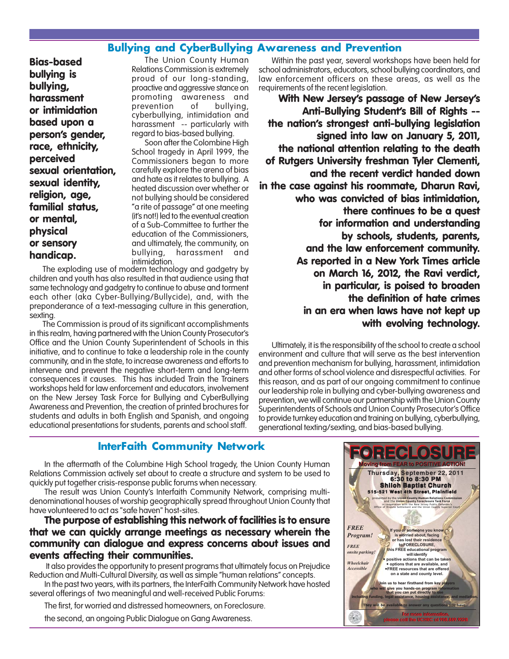#### Bullying and CyberBullying Awareness and Prevention

**Bias-based bullying is bullying, harassment or intimidation based upon a person's gender, race, ethnicity, perceived sexual orientation, sexual identity, religion, age, familial status, or mental, physical or sensory handicap.**

The Union County Human Relations Commission is extremely proud of our long-standing, proactive and aggressive stance on promoting awareness and prevention of bullying, cyberbullying, intimidation and harassment -- particularly with regard to bias-based bullying.

Soon after the Colombine High School tragedy in April 1999, the Commissioners began to more carefully explore the arena of bias and hate as it relates to bullying. A heated discussion over whether or not bullying should be considered "a rite of passage" at one meeting (it's not!) led to the eventual creation of a Sub-Committee to further the education of the Commissioners, and ultimately, the community, on bullying, harassment and intimidation.

The exploding use of modern technology and gadgetry by children and youth has also resulted in that audience using that same technology and gadgetry to continue to abuse and torment each other (aka Cyber-Bullying/Bullycide), and, with the preponderance of a text-messaging culture in this generation, sexting.

The Commission is proud of its significant accomplishments in this realm, having partnered with the Union County Prosecutor's Office and the Union County Superintendent of Schools in this initiative, and to continue to take a leadership role in the county community, and in the state, to increase awareness and efforts to intervene and prevent the negative short-term and long-term consequences it causes. This has included Train the Trainers workshops held for law enforcement and educators, involvement on the New Jersey Task Force for Bullying and CyberBullying Awareness and Prevention, the creation of printed brochures for students and adults in both English and Spanish, and ongoing educational presentations for students, parents and school staff.

Within the past year, several workshops have been held for school administrators, educators, school bullying coordinators, and law enforcement officers on these areas, as well as the requirements of the recent legislation.

**With New Jersey's passage of New Jersey's Anti-Bullying Student's Bill of Rights - the nation's strongest anti-bullying legislation signed into law on January 5, 2011, the national attention relating to the death of Rutgers University freshman Tyler Clementi, and the recent verdict handed down in the case against his roommate, Dharun Ravi, who was convicted of bias intimidation, there continues to be a quest for information and understanding by schools, students, parents, and the law enforcement community. As reported in a New York Times article on March 16, 2012, the Ravi verdict, in particular, is poised to broaden the definition of hate crimes in an era when laws have not kept up with evolving technology.**

Ultimately, it is the responsibility of the school to create a school environment and culture that will serve as the best intervention and prevention mechanism for bullying, harassment, intimidation and other forms of school violence and disrespectful activities. For this reason, and as part of our ongoing commitment to continue our leadership role in bullying and cyber-bullying awareness and prevention, we will continue our partnership with the Union County Superintendents of Schools and Union County Prosecutor's Office to provide turnkey education and training on bullying, cyberbullying, generational texting/sexting, and bias-based bullying.

#### InterFaith Community Network

In the aftermath of the Columbine High School tragedy, the Union County Human Relations Commission actively set about to create a structure and system to be used to quickly put together crisis-response public forums when necessary.

The result was Union County's Interfaith Community Network, comprising multidenominational houses of worship geographically spread throughout Union County that have volunteered to act as "safe haven" host-sites.

#### **The purpose of establishing this network of facilities is to ensure that we can quickly arrange meetings as necessary wherein the community can dialogue and express concerns about issues and events affecting their communities.**

 It also provides the opportunity to present programs that ultimately focus on Prejudice Reduction and Multi-Cultural Diversity, as well as simple "human relations" concepts. In the past two years, with its partners, the InterFaith Community Network have hosted

several offerings of two meaningful and well-received Public Forums:

The first, for worried and distressed homeowners, on Foreclosure.

the second, an ongoing Public Dialogue on Gang Awareness.

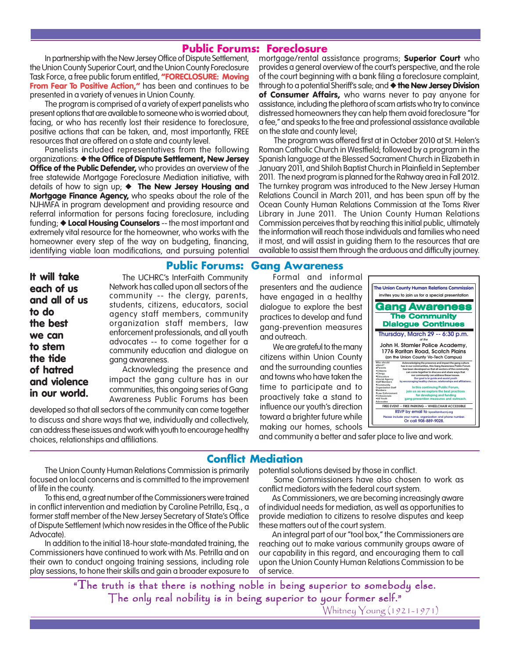#### Public Forums: Foreclosure

In partnership with the New Jersey Office of Dispute Settlement, the Union County Superior Court, and the Union County Foreclosure Task Force, a free public forum entitled, **"FORECLOSURE: Moving From Fear To Positive Action,"** has been and continues to be presented in a variety of venues in Union County.

The program is comprised of a variety of expert panelists who present options that are available to someone who is worried about, facing, or who has recently lost their residence to foreclosure, positive actions that can be taken, and, most importantly, FREE resources that are offered on a state and county level.

Panelists included representatives from the following organizations: ◆ **the Office of Dispute Settlement, New Jersey Office of the Public Defender,** who provides an overview of the free statewide Mortgage Foreclosure Mediation initiative, with details of how to sign up; ◆ **The New Jersey Housing and Mortgage Finance Agency,** who speaks about the role of the NJHMFA in program development and providing resource and referral information for persons facing foreclosure, including funding; ◆ **Local Housing Counselors** -- the most important and extremely vital resource for the homeowner, who works with the homeowner every step of the way on budgeting, financing, identifying viable loan modifications, and pursuing potential mortgage/rental assistance programs; **Superior Court** who provides a general overview of the court's perspective, and the role of the court beginning with a bank filing a foreclosure complaint, through to a potential Sheriff's sale; and ◆**the New Jersey Division of Consumer Affairs,** who warns never to pay anyone for assistance, including the plethora of scam artists who try to convince distressed homeowners they can help them avoid foreclosure "for a fee," and speaks to the free and professional assistance available on the state and county level;

The program was offered first at in October 2010 at St. Helen's Roman Catholic Church in Westfield; followed by a program in the Spanish language at the Blessed Sacrament Church in Elizabeth in January 2011, and Shiloh Baptist Church in Plainfield in September 2011. The next program is planned for the Rahway area in Fall 2012. The turnkey program was introduced to the New Jersey Human Relations Council in March 2011, and has been spun off by the Ocean County Human Relations Commission at the Toms River Library in June 2011. The Union County Human Relations Commission perceives that by reaching this initial public, ultimately the information will reach those individuals and families who need it most, and will assist in guiding them to the resources that are available to assist them through the arduous and difficulty journey.

#### Public Forums: Gang Awareness

**It will take each of us and all of us to do the best we can to stem the tide of hatred and violence in our world.**

The UCHRC's InterFaith Community Network has called upon all sectors of the community -- the clergy, parents, students, citizens, educators, social agency staff members, community organization staff members, law enforcement professionals, and all youth advocates -- to come together for a community education and dialogue on gang awareness.

Acknowledging the presence and impact the gang culture has in our communities, this ongoing series of Gang Awareness Public Forums has been

developed so that all sectors of the community can come together to discuss and share ways that we, individually and collectively, can address these issues and work with youth to encourage healthy choices, relationships and affiliations. and community a better and safer place to live and work.

Formal and informal presenters and the audience have engaged in a healthy dialogue to explore the best practices to develop and fund gang-prevention measures and outreach.

We are grateful to the many citizens within Union County and the surrounding counties and towns who have taken the time to participate and to proactively take a stand to influence our youth's direction toward a brighter future while making our homes, schools



#### Conflict Mediation

The Union County Human Relations Commission is primarily focused on local concerns and is committed to the improvement of life in the county.

To this end, a great number of the Commissioners were trained in conflict intervention and mediation by Caroline Petrilla, Esq., a former staff member of the New Jersey Secretary of State's Office of Dispute Settlement (which now resides in the Office of the Public Advocate).

In addition to the initial 18-hour state-mandated training, the Commissioners have continued to work with Ms. Petrilla and on their own to conduct ongoing training sessions, including role play sessions, to hone their skills and gain a broader exposure to potential solutions devised by those in conflict.

Some Commissioners have also chosen to work as conflict mediators with the federal court system.

As Commissioners, we are becoming increasingly aware of individual needs for mediation, as well as opportunities to provide mediation to citizens to resolve disputes and keep these matters out of the court system.

An integral part of our "tool box," the Commissioners are reaching out to make various community groups aware of our capability in this regard, and encouraging them to call upon the Union County Human Relations Commission to be of service.

"The truth is that there is nothing noble in being superior to somebody else. The only real nobility is in being superior to your former self."

Whitney Young (1921-1971)